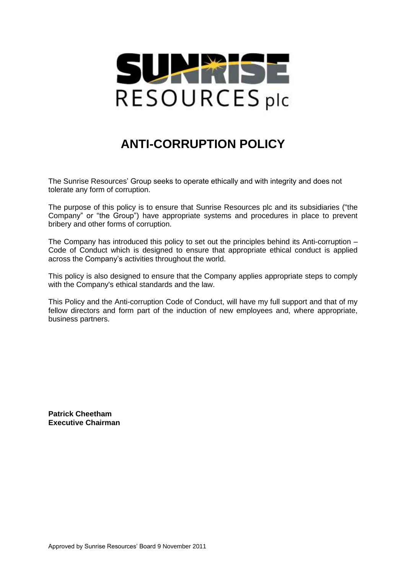

## **ANTI-CORRUPTION POLICY**

The Sunrise Resources' Group seeks to operate ethically and with integrity and does not tolerate any form of corruption.

The purpose of this policy is to ensure that Sunrise Resources plc and its subsidiaries ("the Company" or "the Group") have appropriate systems and procedures in place to prevent bribery and other forms of corruption.

The Company has introduced this policy to set out the principles behind its Anti-corruption – Code of Conduct which is designed to ensure that appropriate ethical conduct is applied across the Company's activities throughout the world.

This policy is also designed to ensure that the Company applies appropriate steps to comply with the Company's ethical standards and the law.

This Policy and the Anti-corruption Code of Conduct, will have my full support and that of my fellow directors and form part of the induction of new employees and, where appropriate, business partners.

**Patrick Cheetham Executive Chairman**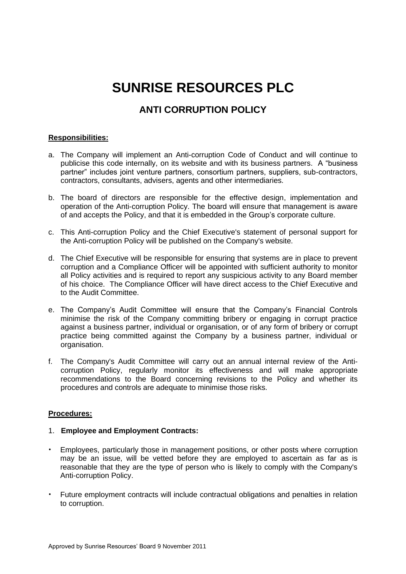# **SUNRISE RESOURCES PLC**

### **ANTI CORRUPTION POLICY**

#### **Responsibilities:**

- a. The Company will implement an Anti-corruption Code of Conduct and will continue to publicise this code internally, on its website and with its business partners. A "business partner" includes joint venture partners, consortium partners, suppliers, sub-contractors, contractors, consultants, advisers, agents and other intermediaries.
- b. The board of directors are responsible for the effective design, implementation and operation of the Anti-corruption Policy. The board will ensure that management is aware of and accepts the Policy, and that it is embedded in the Group's corporate culture.
- c. This Anti-corruption Policy and the Chief Executive's statement of personal support for the Anti-corruption Policy will be published on the Company's website.
- d. The Chief Executive will be responsible for ensuring that systems are in place to prevent corruption and a Compliance Officer will be appointed with sufficient authority to monitor all Policy activities and is required to report any suspicious activity to any Board member of his choice. The Compliance Officer will have direct access to the Chief Executive and to the Audit Committee.
- e. The Company's Audit Committee will ensure that the Company's Financial Controls minimise the risk of the Company committing bribery or engaging in corrupt practice against a business partner, individual or organisation, or of any form of bribery or corrupt practice being committed against the Company by a business partner, individual or organisation.
- f. The Company's Audit Committee will carry out an annual internal review of the Anticorruption Policy, regularly monitor its effectiveness and will make appropriate recommendations to the Board concerning revisions to the Policy and whether its procedures and controls are adequate to minimise those risks.

#### **Procedures:**

#### 1. **Employee and Employment Contracts:**

- Employees, particularly those in management positions, or other posts where corruption may be an issue, will be vetted before they are employed to ascertain as far as is reasonable that they are the type of person who is likely to comply with the Company's Anti-corruption Policy.
- Future employment contracts will include contractual obligations and penalties in relation to corruption.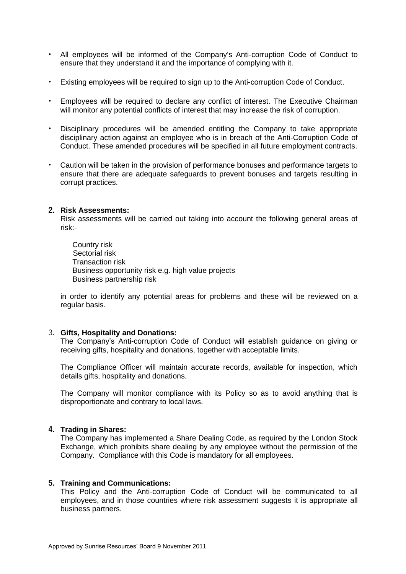- All employees will be informed of the Company's Anti-corruption Code of Conduct to ensure that they understand it and the importance of complying with it.
- Existing employees will be required to sign up to the Anti-corruption Code of Conduct.
- Employees will be required to declare any conflict of interest. The Executive Chairman will monitor any potential conflicts of interest that may increase the risk of corruption.
- Disciplinary procedures will be amended entitling the Company to take appropriate disciplinary action against an employee who is in breach of the Anti-Corruption Code of Conduct. These amended procedures will be specified in all future employment contracts.
- Caution will be taken in the provision of performance bonuses and performance targets to ensure that there are adequate safeguards to prevent bonuses and targets resulting in corrupt practices.

#### **2. Risk Assessments:**

Risk assessments will be carried out taking into account the following general areas of risk:-

Country risk Sectorial risk Transaction risk Business opportunity risk e.g. high value projects Business partnership risk

in order to identify any potential areas for problems and these will be reviewed on a regular basis.

#### 3. **Gifts, Hospitality and Donations:**

The Company's Anti-corruption Code of Conduct will establish guidance on giving or receiving gifts, hospitality and donations, together with acceptable limits.

The Compliance Officer will maintain accurate records, available for inspection, which details gifts, hospitality and donations.

The Company will monitor compliance with its Policy so as to avoid anything that is disproportionate and contrary to local laws.

#### **4. Trading in Shares:**

The Company has implemented a Share Dealing Code, as required by the London Stock Exchange, which prohibits share dealing by any employee without the permission of the Company. Compliance with this Code is mandatory for all employees.

#### **5. Training and Communications:**

This Policy and the Anti-corruption Code of Conduct will be communicated to all employees, and in those countries where risk assessment suggests it is appropriate all business partners.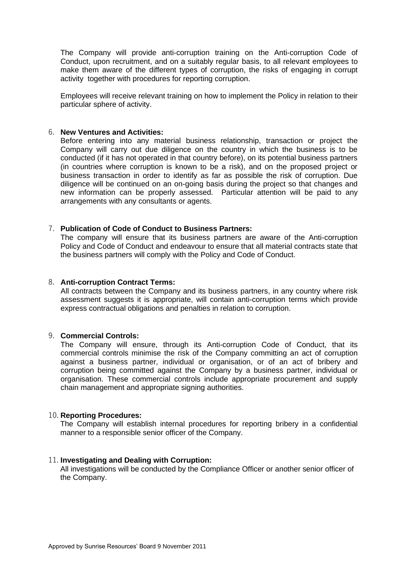The Company will provide anti-corruption training on the Anti-corruption Code of Conduct, upon recruitment, and on a suitably regular basis, to all relevant employees to make them aware of the different types of corruption, the risks of engaging in corrupt activity together with procedures for reporting corruption.

Employees will receive relevant training on how to implement the Policy in relation to their particular sphere of activity.

#### 6. **New Ventures and Activities:**

Before entering into any material business relationship, transaction or project the Company will carry out due diligence on the country in which the business is to be conducted (if it has not operated in that country before), on its potential business partners (in countries where corruption is known to be a risk), and on the proposed project or business transaction in order to identify as far as possible the risk of corruption. Due diligence will be continued on an on-going basis during the project so that changes and new information can be properly assessed. Particular attention will be paid to any arrangements with any consultants or agents.

#### 7. **Publication of Code of Conduct to Business Partners:**

The company will ensure that its business partners are aware of the Anti-corruption Policy and Code of Conduct and endeavour to ensure that all material contracts state that the business partners will comply with the Policy and Code of Conduct.

#### 8. **Anti-corruption Contract Terms:**

All contracts between the Company and its business partners, in any country where risk assessment suggests it is appropriate, will contain anti-corruption terms which provide express contractual obligations and penalties in relation to corruption.

#### 9. **Commercial Controls:**

The Company will ensure, through its Anti-corruption Code of Conduct, that its commercial controls minimise the risk of the Company committing an act of corruption against a business partner, individual or organisation, or of an act of bribery and corruption being committed against the Company by a business partner, individual or organisation. These commercial controls include appropriate procurement and supply chain management and appropriate signing authorities.

#### 10. **Reporting Procedures:**

The Company will establish internal procedures for reporting bribery in a confidential manner to a responsible senior officer of the Company.

#### 11. **Investigating and Dealing with Corruption:**

All investigations will be conducted by the Compliance Officer or another senior officer of the Company.